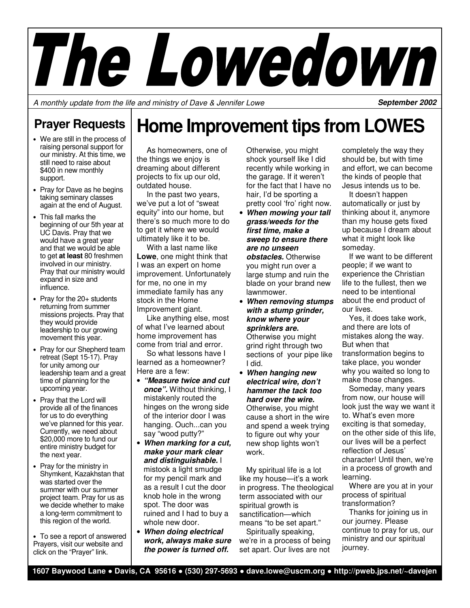

A monthly update from the life and ministry of Dave & Jennifer Lowe

**September 2002** 

## **Prayer Requests**

- We are still in the process of raising personal support for our ministry. At this time, we still need to raise about \$400 in new monthly support.
- Pray for Dave as he begins taking seminary classes again at the end of August.
- This fall marks the beginning of our 5th year at UC Davis. Pray that we would have a great year and that we would be able to get **at least** 80 freshmen involved in our ministry. Pray that our ministry would expand in size and influence.
- Pray for the 20+ students returning from summer missions projects. Pray that they would provide leadership to our growing movement this year.
- Pray for our Shepherd team retreat (Sept 15-17). Pray for unity among our leadership team and a great time of planning for the upcoming year.
- Pray that the Lord will provide all of the finances for us to do everything we've planned for this year. Currently, we need about \$20,000 more to fund our entire ministry budget for the next year.
- Pray for the ministry in Shymkent, Kazakhstan that was started over the summer with our summer project team. Pray for us as we decide whether to make a long-term commitment to this region of the world.
- To see a report of answered Prayers, visit our website and click on the "Prayer" link.

## **Home Improvement tips from LOWES**

 As homeowners, one of the things we enjoy is dreaming about different projects to fix up our old, outdated house.

 In the past two years, we've put a lot of "sweat equity" into our home, but there's so much more to do to get it where we would ultimately like it to be.

 With a last name like **Lowe**, one might think that I was an expert on home improvement. Unfortunately for me, no one in my immediate family has any stock in the Home Improvement giant.

 Like anything else, most of what I've learned about home improvement has come from trial and error.

 So what lessons have I learned as a homeowner? Here are a few:

- **"Measure twice and cut once".** Without thinking, I mistakenly routed the hinges on the wrong side of the interior door I was hanging. Ouch...can you say "wood putty?"
- **When marking for a cut, make your mark clear and distinguishable.** I mistook a light smudge for my pencil mark and as a result I cut the door knob hole in the wrong spot. The door was ruined and I had to buy a whole new door.
- **When doing electrical work, always make sure the power is turned off.**

Otherwise, you might shock yourself like I did recently while working in the garage. If it weren't for the fact that I have no hair, I'd be sporting a pretty cool 'fro' right now.

- **When mowing your tall grass/weeds for the first time, make a sweep to ensure there are no unseen obstacles.** Otherwise you might run over a large stump and ruin the blade on your brand new lawnmower.
- **When removing stumps with a stump grinder, know where your sprinklers are.**  Otherwise you might grind right through two sections of your pipe like I did.
- **When hanging new electrical wire, don't hammer the tack too hard over the wire.**  Otherwise, you might cause a short in the wire and spend a week trying to figure out why your new shop lights won't work.

 My spiritual life is a lot like my house—it's a work in progress. The theological term associated with our spiritual growth is sanctification—which means "to be set apart."

 Spiritually speaking, we're in a process of being set apart. Our lives are not

completely the way they should be, but with time and effort, we can become the kinds of people that Jesus intends us to be.

 It doesn't happen automatically or just by thinking about it, anymore than my house gets fixed up because I dream about what it might look like someday.

 If we want to be different people; if we want to experience the Christian life to the fullest, then we need to be intentional about the end product of our lives.

 Yes, it does take work, and there are lots of mistakes along the way. But when that transformation begins to take place, you wonder why you waited so long to make those changes.

 Someday, many years from now, our house will look just the way we want it to. What's even more exciting is that someday, on the other side of this life, our lives will be a perfect reflection of Jesus' character! Until then, we're in a process of growth and learning.

 Where are you at in your process of spiritual transformation?

 Thanks for joining us in our journey. Please continue to pray for us, our ministry and our spiritual journey.

**1607 Baywood Lane** ● **Davis, CA 95616** ● **(530) 297-5693** ● **dave.lowe@uscm.org** ● **http://pweb.jps.net/~davejen**